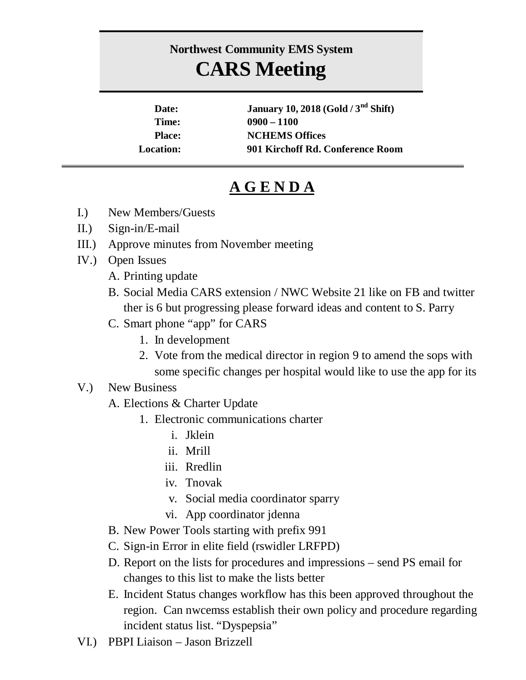## **Northwest Community EMS System CARS Meeting**

| Date:            | January 10, 2018 (Gold / $3nd$ Shift) |
|------------------|---------------------------------------|
| Time:            | $0900 - 1100$                         |
| <b>Place:</b>    | <b>NCHEMS Offices</b>                 |
| <b>Location:</b> | 901 Kirchoff Rd. Conference Room      |

## **A G E N D A**

- I.) New Members/Guests
- II.) Sign-in/E-mail
- III.) Approve minutes from November meeting
- IV.) Open Issues
	- A. Printing update
	- B. Social Media CARS extension / NWC Website 21 like on FB and twitter ther is 6 but progressing please forward ideas and content to S. Parry
	- C. Smart phone "app" for CARS
		- 1. In development
		- 2. Vote from the medical director in region 9 to amend the sops with some specific changes per hospital would like to use the app for its

## V.) New Business

- A. Elections & Charter Update
	- 1. Electronic communications charter
		- i. Jklein
		- ii. Mrill
		- iii. Rredlin
		- iv. Tnovak
		- v. Social media coordinator sparry
		- vi. App coordinator jdenna
- B. New Power Tools starting with prefix 991
- C. Sign-in Error in elite field (rswidler LRFPD)
- D. Report on the lists for procedures and impressions send PS email for changes to this list to make the lists better
- E. Incident Status changes workflow has this been approved throughout the region. Can nwcemss establish their own policy and procedure regarding incident status list. "Dyspepsia"
- VI.) PBPI Liaison Jason Brizzell